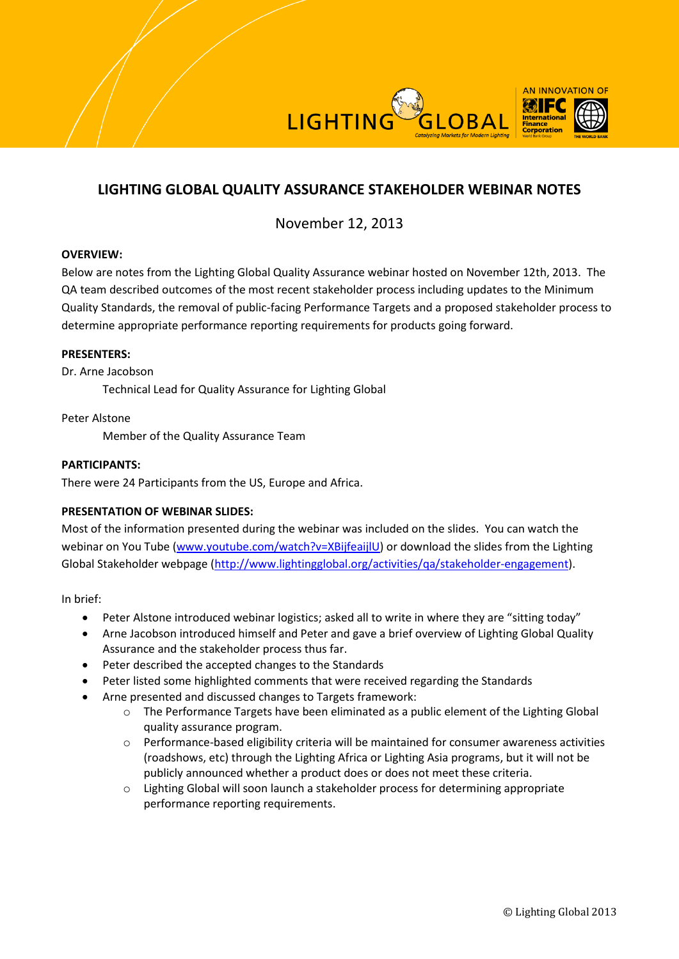



# November 12, 2013

## **OVERVIEW:**

Below are notes from the Lighting Global Quality Assurance webinar hosted on November 12th, 2013. The QA team described outcomes of the most recent stakeholder process including updates to the Minimum Quality Standards, the removal of public-facing Performance Targets and a proposed stakeholder process to determine appropriate performance reporting requirements for products going forward.

#### **PRESENTERS:**

Dr. Arne Jacobson

Technical Lead for Quality Assurance for Lighting Global

Peter Alstone

Member of the Quality Assurance Team

## **PARTICIPANTS:**

There were 24 Participants from the US, Europe and Africa.

# **PRESENTATION OF WEBINAR SLIDES:**

Most of the information presented during the webinar was included on the slides. You can watch the webinar on You Tube [\(www.youtube.com/watch?v=XBijfeaijlU\)](http://www.youtube.com/watch?v=XBijfeaijlU) or download the slides from the Lighting Global Stakeholder webpage [\(http://www.lightingglobal.org/activities/qa/stakeholder-engagement\)](http://www.lightingglobal.org/activities/qa/stakeholder-engagement).

In brief:

- Peter Alstone introduced webinar logistics; asked all to write in where they are "sitting today"
- Arne Jacobson introduced himself and Peter and gave a brief overview of Lighting Global Quality Assurance and the stakeholder process thus far.
- Peter described the accepted changes to the Standards
- Peter listed some highlighted comments that were received regarding the Standards
- Arne presented and discussed changes to Targets framework:
	- o The Performance Targets have been eliminated as a public element of the Lighting Global quality assurance program.
	- o Performance-based eligibility criteria will be maintained for consumer awareness activities (roadshows, etc) through the Lighting Africa or Lighting Asia programs, but it will not be publicly announced whether a product does or does not meet these criteria.
	- o Lighting Global will soon launch a stakeholder process for determining appropriate performance reporting requirements.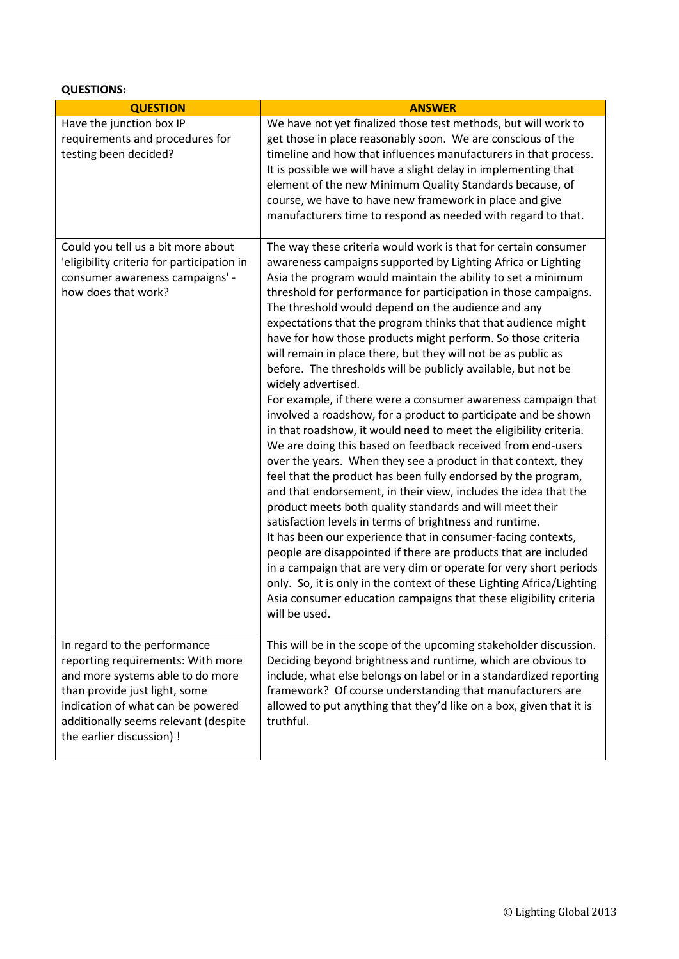**QUESTIONS:**

| <b>QUESTION</b>                                                                                                                                                                                                                                  | <b>ANSWER</b>                                                                                                                                                                                                                                                                                                                                                                                                                                                                                                                                                                                                                                                                                                                                                                                                                                                                                                                                                                                                                                                                                                                                                                                                                                                                                                                                                                                                                                                                                                                                                                              |
|--------------------------------------------------------------------------------------------------------------------------------------------------------------------------------------------------------------------------------------------------|--------------------------------------------------------------------------------------------------------------------------------------------------------------------------------------------------------------------------------------------------------------------------------------------------------------------------------------------------------------------------------------------------------------------------------------------------------------------------------------------------------------------------------------------------------------------------------------------------------------------------------------------------------------------------------------------------------------------------------------------------------------------------------------------------------------------------------------------------------------------------------------------------------------------------------------------------------------------------------------------------------------------------------------------------------------------------------------------------------------------------------------------------------------------------------------------------------------------------------------------------------------------------------------------------------------------------------------------------------------------------------------------------------------------------------------------------------------------------------------------------------------------------------------------------------------------------------------------|
| Have the junction box IP<br>requirements and procedures for<br>testing been decided?                                                                                                                                                             | We have not yet finalized those test methods, but will work to<br>get those in place reasonably soon. We are conscious of the<br>timeline and how that influences manufacturers in that process.<br>It is possible we will have a slight delay in implementing that<br>element of the new Minimum Quality Standards because, of<br>course, we have to have new framework in place and give<br>manufacturers time to respond as needed with regard to that.                                                                                                                                                                                                                                                                                                                                                                                                                                                                                                                                                                                                                                                                                                                                                                                                                                                                                                                                                                                                                                                                                                                                 |
| Could you tell us a bit more about<br>'eligibility criteria for participation in<br>consumer awareness campaigns' -<br>how does that work?                                                                                                       | The way these criteria would work is that for certain consumer<br>awareness campaigns supported by Lighting Africa or Lighting<br>Asia the program would maintain the ability to set a minimum<br>threshold for performance for participation in those campaigns.<br>The threshold would depend on the audience and any<br>expectations that the program thinks that that audience might<br>have for how those products might perform. So those criteria<br>will remain in place there, but they will not be as public as<br>before. The thresholds will be publicly available, but not be<br>widely advertised.<br>For example, if there were a consumer awareness campaign that<br>involved a roadshow, for a product to participate and be shown<br>in that roadshow, it would need to meet the eligibility criteria.<br>We are doing this based on feedback received from end-users<br>over the years. When they see a product in that context, they<br>feel that the product has been fully endorsed by the program,<br>and that endorsement, in their view, includes the idea that the<br>product meets both quality standards and will meet their<br>satisfaction levels in terms of brightness and runtime.<br>It has been our experience that in consumer-facing contexts,<br>people are disappointed if there are products that are included<br>in a campaign that are very dim or operate for very short periods<br>only. So, it is only in the context of these Lighting Africa/Lighting<br>Asia consumer education campaigns that these eligibility criteria<br>will be used. |
| In regard to the performance<br>reporting requirements: With more<br>and more systems able to do more<br>than provide just light, some<br>indication of what can be powered<br>additionally seems relevant (despite<br>the earlier discussion) ! | This will be in the scope of the upcoming stakeholder discussion.<br>Deciding beyond brightness and runtime, which are obvious to<br>include, what else belongs on label or in a standardized reporting<br>framework? Of course understanding that manufacturers are<br>allowed to put anything that they'd like on a box, given that it is<br>truthful.                                                                                                                                                                                                                                                                                                                                                                                                                                                                                                                                                                                                                                                                                                                                                                                                                                                                                                                                                                                                                                                                                                                                                                                                                                   |